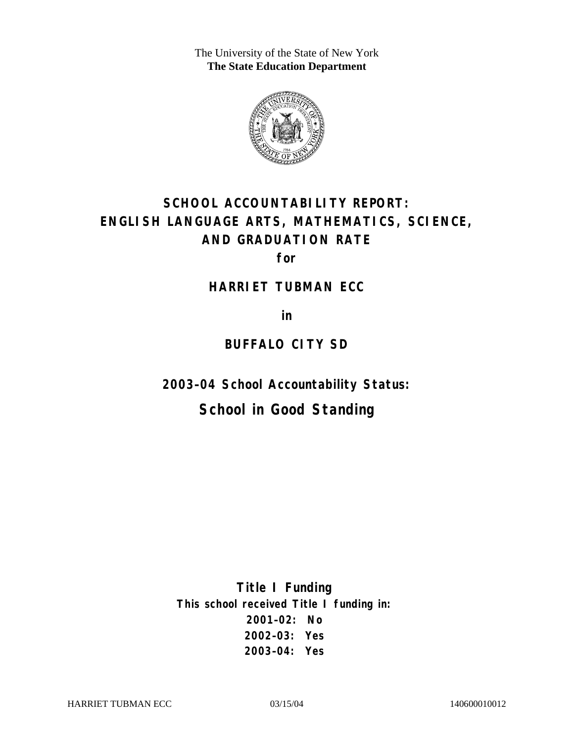The University of the State of New York **The State Education Department** 



# **SCHOOL ACCOUNTABILITY REPORT: ENGLISH LANGUAGE ARTS, MATHEMATICS, SCIENCE, AND GRADUATION RATE**

**for** 

#### **HARRIET TUBMAN ECC**

**in** 

### **BUFFALO CITY SD**

**2003–04 School Accountability Status:** 

## **School in Good Standing**

**Title I Funding This school received Title I funding in: 2001–02: No 2002–03: Yes 2003–04: Yes**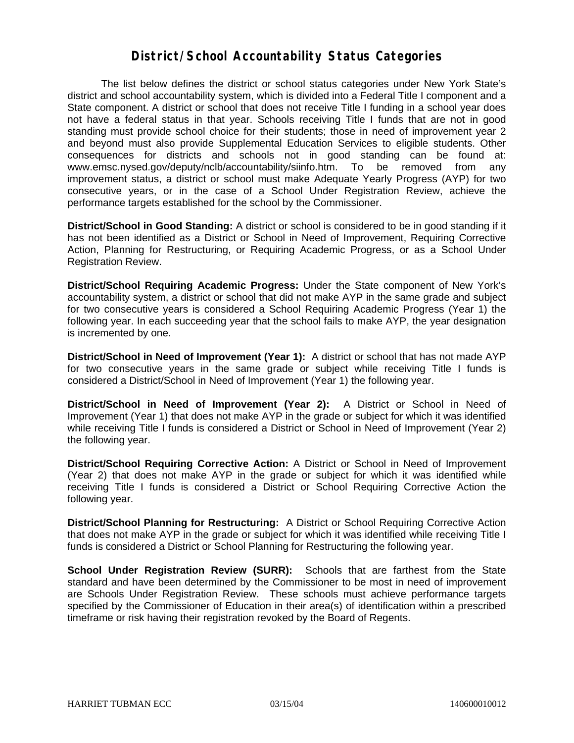#### **District/School Accountability Status Categories**

The list below defines the district or school status categories under New York State's district and school accountability system, which is divided into a Federal Title I component and a State component. A district or school that does not receive Title I funding in a school year does not have a federal status in that year. Schools receiving Title I funds that are not in good standing must provide school choice for their students; those in need of improvement year 2 and beyond must also provide Supplemental Education Services to eligible students. Other consequences for districts and schools not in good standing can be found at: www.emsc.nysed.gov/deputy/nclb/accountability/siinfo.htm. To be removed from any improvement status, a district or school must make Adequate Yearly Progress (AYP) for two consecutive years, or in the case of a School Under Registration Review, achieve the performance targets established for the school by the Commissioner.

**District/School in Good Standing:** A district or school is considered to be in good standing if it has not been identified as a District or School in Need of Improvement, Requiring Corrective Action, Planning for Restructuring, or Requiring Academic Progress, or as a School Under Registration Review.

**District/School Requiring Academic Progress:** Under the State component of New York's accountability system, a district or school that did not make AYP in the same grade and subject for two consecutive years is considered a School Requiring Academic Progress (Year 1) the following year. In each succeeding year that the school fails to make AYP, the year designation is incremented by one.

**District/School in Need of Improvement (Year 1):** A district or school that has not made AYP for two consecutive years in the same grade or subject while receiving Title I funds is considered a District/School in Need of Improvement (Year 1) the following year.

**District/School in Need of Improvement (Year 2):** A District or School in Need of Improvement (Year 1) that does not make AYP in the grade or subject for which it was identified while receiving Title I funds is considered a District or School in Need of Improvement (Year 2) the following year.

**District/School Requiring Corrective Action:** A District or School in Need of Improvement (Year 2) that does not make AYP in the grade or subject for which it was identified while receiving Title I funds is considered a District or School Requiring Corrective Action the following year.

**District/School Planning for Restructuring:** A District or School Requiring Corrective Action that does not make AYP in the grade or subject for which it was identified while receiving Title I funds is considered a District or School Planning for Restructuring the following year.

**School Under Registration Review (SURR):** Schools that are farthest from the State standard and have been determined by the Commissioner to be most in need of improvement are Schools Under Registration Review. These schools must achieve performance targets specified by the Commissioner of Education in their area(s) of identification within a prescribed timeframe or risk having their registration revoked by the Board of Regents.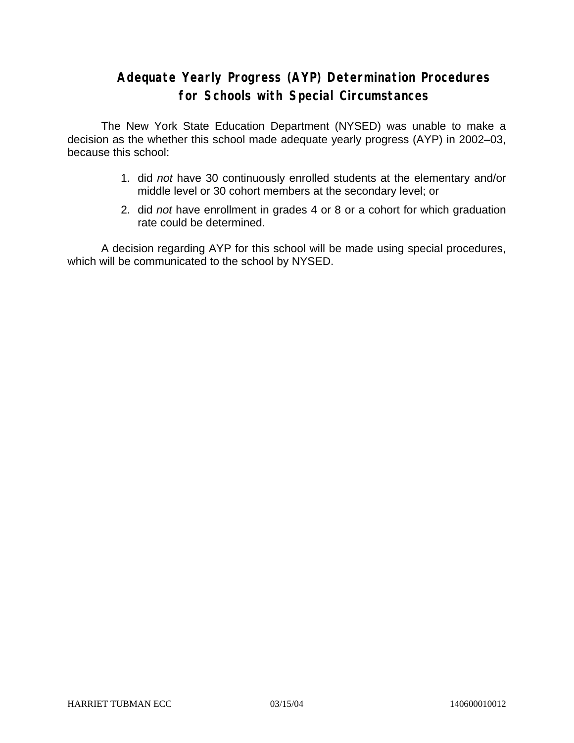### **Adequate Yearly Progress (AYP) Determination Procedures for Schools with Special Circumstances**

The New York State Education Department (NYSED) was unable to make a decision as the whether this school made adequate yearly progress (AYP) in 2002–03, because this school:

- 1. did *not* have 30 continuously enrolled students at the elementary and/or middle level or 30 cohort members at the secondary level; or
- 2. did *not* have enrollment in grades 4 or 8 or a cohort for which graduation rate could be determined.

A decision regarding AYP for this school will be made using special procedures, which will be communicated to the school by NYSED.